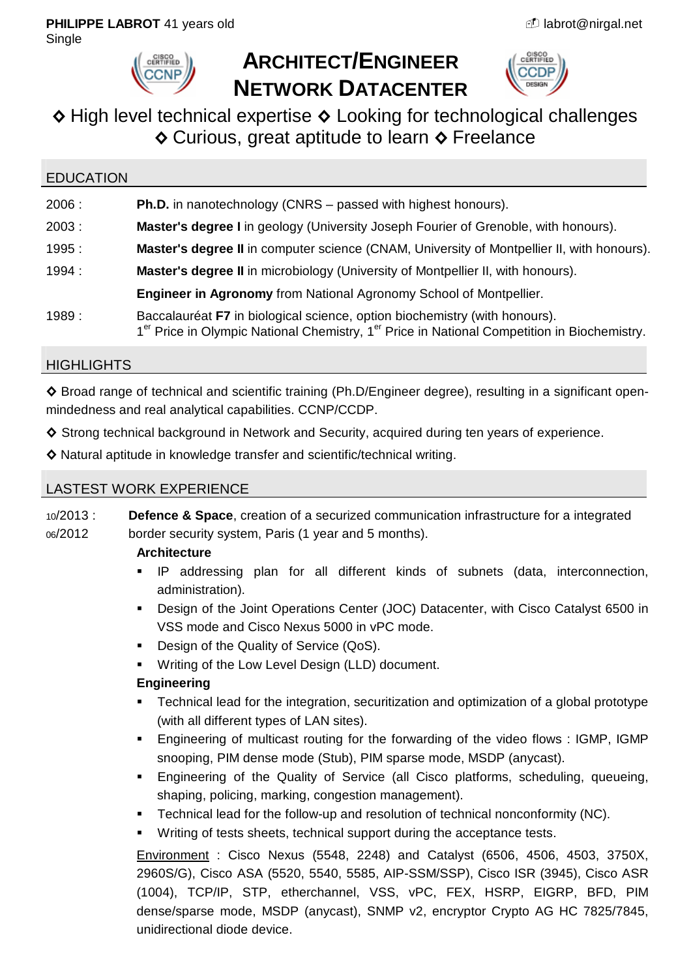

# **ARCHITECT/ENGINEER NETWORK DATACENTER**



## **◊** High level technical expertise **◊** Looking for technological challenges **◊** Curious, great aptitude to learn **◊** Freelance

## EDUCATION 2006 : **Ph.D.** in nanotechnology (CNRS – passed with highest honours). 2003 : **Master's degree I** in geology (University Joseph Fourier of Grenoble, with honours). 1995 : **Master's degree II** in computer science (CNAM, University of Montpellier II, with honours). 1994 : **Master's degree II** in microbiology (University of Montpellier II, with honours). **Engineer in Agronomy** from National Agronomy School of Montpellier. 1989 : Baccalauréat **F7** in biological science, option biochemistry (with honours). 1<sup>er</sup> Price in Olympic National Chemistry, 1<sup>er</sup> Price in National Competition in Biochemistry.

## **HIGHLIGHTS**

**◊** Broad range of technical and scientific training (Ph.D/Engineer degree), resulting in a significant openmindedness and real analytical capabilities. CCNP/CCDP.

- ◆ Strong technical background in Network and Security, acquired during ten years of experience.
- **◊** Natural aptitude in knowledge transfer and scientific/technical writing.

## LASTEST WORK EXPERIENCE

10/2013 : **Defence & Space**, creation of a securized communication infrastructure for a integrated 06/2012 border security system, Paris (1 year and 5 months).

## **Architecture**

- IP addressing plan for all different kinds of subnets (data, interconnection, administration).
- Design of the Joint Operations Center (JOC) Datacenter, with Cisco Catalyst 6500 in VSS mode and Cisco Nexus 5000 in vPC mode.
- Design of the Quality of Service (QoS).
- **Writing of the Low Level Design (LLD) document.**

## **Engineering**

- Technical lead for the integration, securitization and optimization of a global prototype (with all different types of LAN sites).
- Engineering of multicast routing for the forwarding of the video flows : IGMP, IGMP snooping, PIM dense mode (Stub), PIM sparse mode, MSDP (anycast).
- Engineering of the Quality of Service (all Cisco platforms, scheduling, queueing, shaping, policing, marking, congestion management).
- Technical lead for the follow-up and resolution of technical nonconformity (NC).
- Writing of tests sheets, technical support during the acceptance tests.

Environment : Cisco Nexus (5548, 2248) and Catalyst (6506, 4506, 4503, 3750X, 2960S/G), Cisco ASA (5520, 5540, 5585, AIP-SSM/SSP), Cisco ISR (3945), Cisco ASR (1004), TCP/IP, STP, etherchannel, VSS, vPC, FEX, HSRP, EIGRP, BFD, PIM dense/sparse mode, MSDP (anycast), SNMP v2, encryptor Crypto AG HC 7825/7845, unidirectional diode device.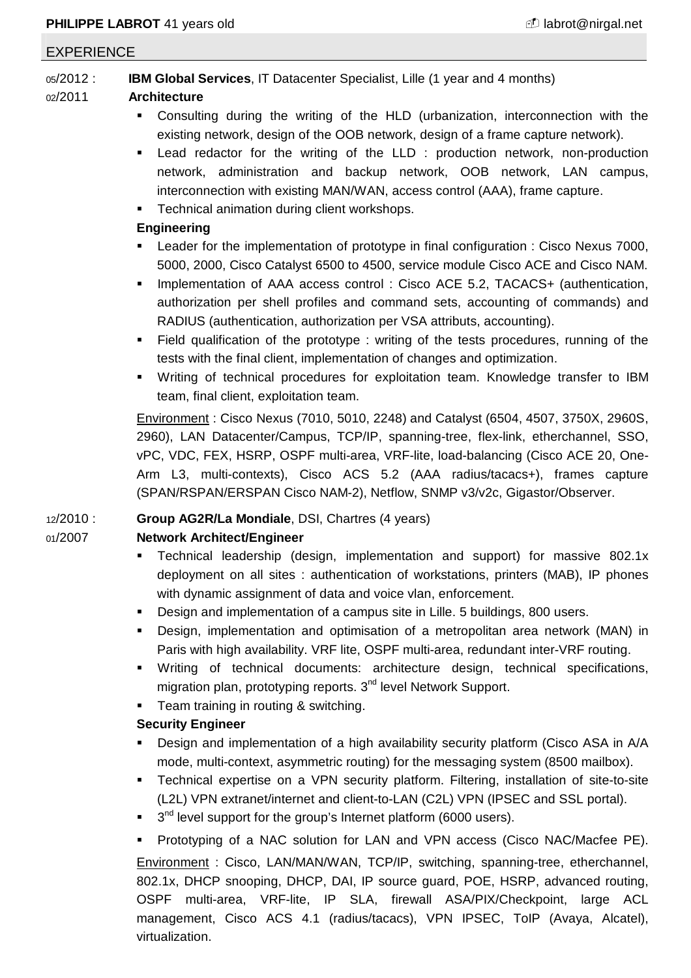#### EXPERIENCE

05/2012 : **IBM Global Services**, IT Datacenter Specialist, Lille (1 year and 4 months)

#### 02/2011 **Architecture**

- Consulting during the writing of the HLD (urbanization, interconnection with the existing network, design of the OOB network, design of a frame capture network).
- Lead redactor for the writing of the LLD : production network, non-production network, administration and backup network, OOB network, LAN campus, interconnection with existing MAN/WAN, access control (AAA), frame capture.
- Technical animation during client workshops.

#### **Engineering**

- Leader for the implementation of prototype in final configuration : Cisco Nexus 7000, 5000, 2000, Cisco Catalyst 6500 to 4500, service module Cisco ACE and Cisco NAM.
- **IMPLEMENTERIOUR IN ART ACCESS CONTROL** : Cisco ACE 5.2, TACACS+ (authentication, authorization per shell profiles and command sets, accounting of commands) and RADIUS (authentication, authorization per VSA attributs, accounting).
- Field qualification of the prototype : writing of the tests procedures, running of the tests with the final client, implementation of changes and optimization.
- Writing of technical procedures for exploitation team. Knowledge transfer to IBM team, final client, exploitation team.

Environment : Cisco Nexus (7010, 5010, 2248) and Catalyst (6504, 4507, 3750X, 2960S, 2960), LAN Datacenter/Campus, TCP/IP, spanning-tree, flex-link, etherchannel, SSO, vPC, VDC, FEX, HSRP, OSPF multi-area, VRF-lite, load-balancing (Cisco ACE 20, One-Arm L3, multi-contexts), Cisco ACS 5.2 (AAA radius/tacacs+), frames capture (SPAN/RSPAN/ERSPAN Cisco NAM-2), Netflow, SNMP v3/v2c, Gigastor/Observer.

## 12/2010 : **Group AG2R/La Mondiale**, DSI, Chartres (4 years)

## 01/2007 **Network Architect/Engineer**

- **Technical leadership (design, implementation and support) for massive 802.1x** deployment on all sites : authentication of workstations, printers (MAB), IP phones with dynamic assignment of data and voice vlan, enforcement.
- Design and implementation of a campus site in Lille. 5 buildings, 800 users.
- Design, implementation and optimisation of a metropolitan area network (MAN) in Paris with high availability. VRF lite, OSPF multi-area, redundant inter-VRF routing.
- Writing of technical documents: architecture design, technical specifications, migration plan, prototyping reports. 3<sup>nd</sup> level Network Support.
- **Team training in routing & switching.**

## **Security Engineer**

- Design and implementation of a high availability security platform (Cisco ASA in A/A mode, multi-context, asymmetric routing) for the messaging system (8500 mailbox).
- Technical expertise on a VPN security platform. Filtering, installation of site-to-site (L2L) VPN extranet/internet and client-to-LAN (C2L) VPN (IPSEC and SSL portal).
- $\blacksquare$  3<sup>nd</sup> level support for the group's Internet platform (6000 users).

 Prototyping of a NAC solution for LAN and VPN access (Cisco NAC/Macfee PE). Environment : Cisco, LAN/MAN/WAN, TCP/IP, switching, spanning-tree, etherchannel, 802.1x, DHCP snooping, DHCP, DAI, IP source guard, POE, HSRP, advanced routing, OSPF multi-area, VRF-lite, IP SLA, firewall ASA/PIX/Checkpoint, large ACL management, Cisco ACS 4.1 (radius/tacacs), VPN IPSEC, ToIP (Avaya, Alcatel), virtualization.